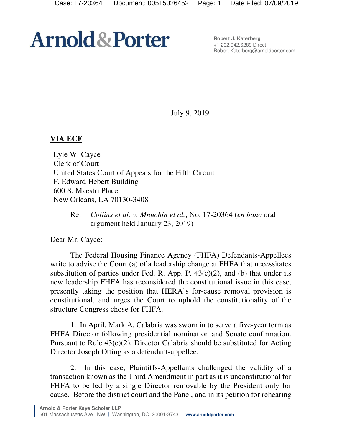## **Arnold & Porter**

**Robert J. Katerberg**  +1 202.942.6289 Direct Robert.Katerberg@arnoldporter.com

July 9, 2019

## **VIA ECF**

Lyle W. Cayce Clerk of Court United States Court of Appeals for the Fifth Circuit F. Edward Hebert Building 600 S. Maestri Place New Orleans, LA 70130-3408

Re: *Collins et al. v. Mnuchin et al.*, No. 17-20364 (*en banc* oral argument held January 23, 2019)

Dear Mr. Cayce:

The Federal Housing Finance Agency (FHFA) Defendants-Appellees write to advise the Court (a) of a leadership change at FHFA that necessitates substitution of parties under Fed. R. App. P.  $43(c)(2)$ , and (b) that under its new leadership FHFA has reconsidered the constitutional issue in this case, presently taking the position that HERA's for-cause removal provision is constitutional, and urges the Court to uphold the constitutionality of the structure Congress chose for FHFA.

1. In April, Mark A. Calabria was sworn in to serve a five-year term as FHFA Director following presidential nomination and Senate confirmation. Pursuant to Rule 43(c)(2), Director Calabria should be substituted for Acting Director Joseph Otting as a defendant-appellee.

2. In this case, Plaintiffs-Appellants challenged the validity of a transaction known as the Third Amendment in part as it is unconstitutional for FHFA to be led by a single Director removable by the President only for cause. Before the district court and the Panel, and in its petition for rehearing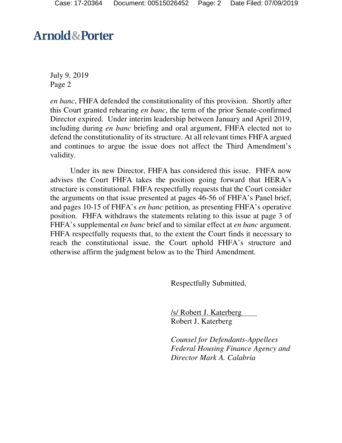## **Arnold&Porter**

July 9, 2019 Page 2

*en banc*, FHFA defended the constitutionality of this provision. Shortly after this Court granted rehearing *en banc*, the term of the prior Senate-confirmed Director expired. Under interim leadership between January and April 2019, including during *en banc* briefing and oral argument, FHFA elected not to defend the constitutionality of its structure. At all relevant times FHFA argued and continues to argue the issue does not affect the Third Amendment's validity.

Under its new Director, FHFA has considered this issue. FHFA now advises the Court FHFA takes the position going forward that HERA's structure is constitutional. FHFA respectfully requests that the Court consider the arguments on that issue presented at pages 46-56 of FHFA's Panel brief, and pages 10-15 of FHFA's *en banc* petition, as presenting FHFA's operative position. FHFA withdraws the statements relating to this issue at page 3 of FHFA's supplemental *en banc* brief and to similar effect at *en banc* argument. FHFA respectfully requests that, to the extent the Court finds it necessary to reach the constitutional issue, the Court uphold FHFA's structure and otherwise affirm the judgment below as to the Third Amendment.

Respectfully Submitted,

/s/ Robert J. Katerberg Robert J. Katerberg

*Counsel for Defendants-Appellees Federal Housing Finance Agency and Director Mark A. Calabria*